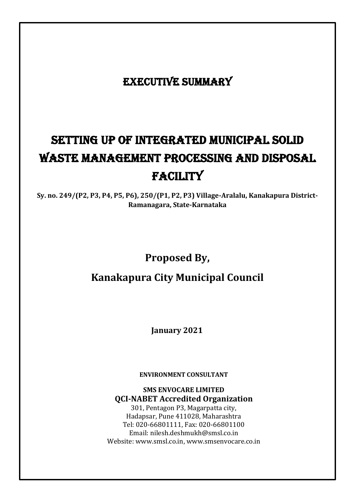# EXECUTIVE SUMMARY

# setting up of Integrated Municipal Solid Waste Management Processing and Disposal **FACILITY**

**Sy. no. 249/(P2, P3, P4, P5, P6), 250/(P1, P2, P3) Village-Aralalu, Kanakapura District-Ramanagara, State-Karnataka**

# **Proposed By,**

# **Kanakapura City Municipal Council**

**January 2021**

**ENVIRONMENT CONSULTANT**

**SMS ENVOCARE LIMITED QCI-NABET Accredited Organization**

301, Pentagon P3, Magarpatta city, Hadapsar, Pune 411028, Maharashtra Tel: 020-66801111, Fax: 020-66801100 Email[: nilesh.deshmukh@smsl.co.in](mailto:nilesh.deshmukh@smsl.co.in) Website: [www.smsl.co.in,](http://www.smsl.co.in/) [www.smsenvocare.co.in](http://www.smsenvocare.co.in/)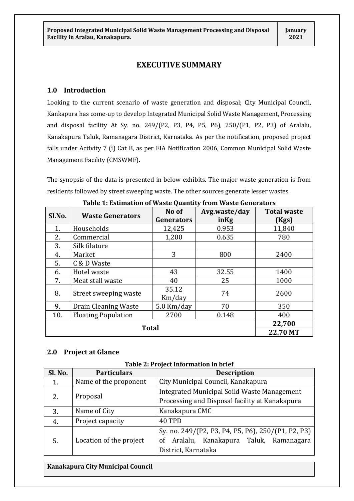### **EXECUTIVE SUMMARY**

#### **1.0 Introduction**

Looking to the current scenario of waste generation and disposal; City Municipal Council, Kankapura has come-up to develop Integrated Municipal Solid Waste Management, Processing and disposal facility At Sy. no. 249/(P2, P3, P4, P5, P6), 250/(P1, P2, P3) of Aralalu, Kanakapura Taluk, Ramanagara District, Karnataka. As per the notification, proposed project falls under Activity 7 (i) Cat B, as per EIA Notification 2006, Common Municipal Solid Waste Management Facility (CMSWMF).

The synopsis of the data is presented in below exhibits. The major waste generation is from residents followed by street sweeping waste. The other sources generate lesser wastes.

| Sl.No.       | <b>Waste Generators</b>    | No of<br>Generators | Avg.waste/day<br>inKg | <b>Total waste</b><br>(Kgs) |
|--------------|----------------------------|---------------------|-----------------------|-----------------------------|
| 1.           | Households                 | 12,425              | 0.953                 | 11,840                      |
| 2.           | Commercial                 | 1,200               | 0.635                 | 780                         |
| 3.           | Silk filature              |                     |                       |                             |
| 4.           | Market                     | 3                   | 800                   | 2400                        |
| 5.           | C & D Waste                |                     |                       |                             |
| 6.           | Hotel waste                | 43                  | 32.55                 | 1400                        |
| 7.           | Meat stall waste           | 40                  | 25                    | 1000                        |
| 8.           | Street sweeping waste      | 35.12<br>Km/day     | 74                    | 2600                        |
| 9.           | Drain Cleaning Waste       | $5.0$ Km/day        | 70                    | 350                         |
| 10.          | <b>Floating Population</b> | 2700                | 0.148                 | 400                         |
|              |                            |                     |                       | 22,700                      |
| <b>Total</b> |                            |                     |                       | 22.70 MT                    |

#### **Table 1: Estimation of Waste Quantity from Waste Generators**

#### **2.0 Project at Glance**

| Sl. No. | <b>Particulars</b>      | <b>Description</b>                                 |  |
|---------|-------------------------|----------------------------------------------------|--|
| 1.      | Name of the proponent   | City Municipal Council, Kanakapura                 |  |
|         |                         | Integrated Municipal Soild Waste Management        |  |
| 2.      | Proposal                | Processing and Disposal facility at Kanakapura     |  |
| 3.      | Name of City            | Kanakapura CMC                                     |  |
| 4.      | Project capacity        | 40 TPD                                             |  |
|         |                         | Sy. no. 249/(P2, P3, P4, P5, P6), 250/(P1, P2, P3) |  |
| 5.      | Location of the project | Aralalu, Kanakapura Taluk, Ramanagara<br>οf        |  |
|         |                         | District, Karnataka                                |  |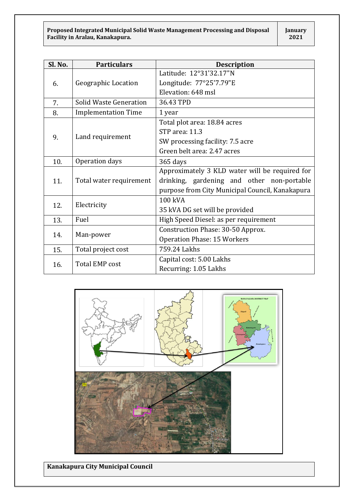| Sl. No. | <b>Particulars</b>            | <b>Description</b>                              |  |
|---------|-------------------------------|-------------------------------------------------|--|
|         |                               | Latitude: 12°31'32.17"N                         |  |
| 6.      | <b>Geographic Location</b>    | Longitude: 77°25'7.79"E                         |  |
|         |                               | Elevation: 648 msl                              |  |
| 7.      | <b>Solid Waste Generation</b> | 36.43 TPD                                       |  |
| 8.      | <b>Implementation Time</b>    | 1 year                                          |  |
|         |                               | Total plot area: 18.84 acres                    |  |
|         |                               | STP area: 11.3                                  |  |
| 9.      | Land requirement              | SW processing facility: 7.5 acre                |  |
|         |                               | Green belt area: 2.47 acres                     |  |
| 10.     | Operation days                | 365 days                                        |  |
|         |                               | Approximately 3 KLD water will be required for  |  |
| 11.     | Total water requirement       | drinking, gardening and other non-portable      |  |
|         |                               | purpose from City Municipal Council, Kanakapura |  |
|         |                               | 100 kVA                                         |  |
| 12.     | Electricity                   | 35 kVA DG set will be provided                  |  |
| 13.     | Fuel                          | High Speed Diesel: as per requirement           |  |
|         |                               | Construction Phase: 30-50 Approx.               |  |
| 14.     | Man-power                     | <b>Operation Phase: 15 Workers</b>              |  |
| 15.     | Total project cost            | 759.24 Lakhs                                    |  |
|         |                               | Capital cost: 5.00 Lakhs                        |  |
| 16.     | <b>Total EMP cost</b>         | Recurring: 1.05 Lakhs                           |  |

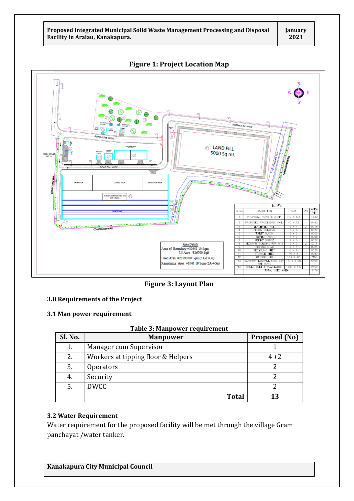

**Figure 1: Project Location Map**

**Figure 3: Layout Plan**

#### **3.0 Requirements of the Project**

#### **3.1 Man power requirement**

**Table 3: Manpower requirement**

| Sl. No. | <b>Manpower</b>                               | <b>Proposed (No)</b> |
|---------|-----------------------------------------------|----------------------|
| 1.      | Manager cum Supervisor                        |                      |
| 2.      | Workers at tipping floor & Helpers<br>$4 + 2$ |                      |
| 3.      | <b>Operators</b>                              |                      |
| 4.      | Security                                      |                      |
| 5.      | <b>DWCC</b>                                   |                      |
|         | <b>Total</b>                                  | 13                   |

#### **3.2 Water Requirement**

Water requirement for the proposed facility will be met through the village Gram panchayat /water tanker.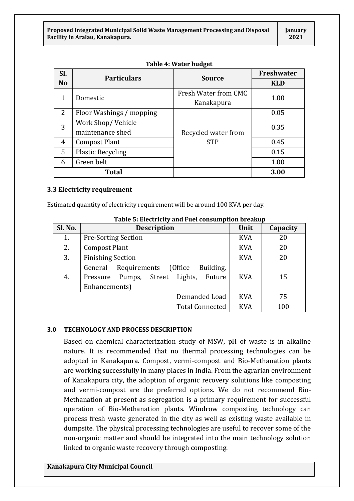| SI.       | <b>Particulars</b>       | <b>Source</b>        | Freshwater |
|-----------|--------------------------|----------------------|------------|
| <b>No</b> |                          |                      | <b>KLD</b> |
| 1         | Domestic                 | Fresh Water from CMC | 1.00       |
|           |                          | Kanakapura           |            |
| 2         | Floor Washings / mopping |                      | 0.05       |
| 3         | Work Shop/Vehicle        |                      | 0.35       |
|           | maintenance shed         | Recycled water from  |            |
| 4         | <b>Compost Plant</b>     | <b>STP</b>           | 0.45       |
| 5         | <b>Plastic Recycling</b> |                      | 0.15       |
| 6         | Green belt               |                      | 1.00       |
|           | <b>Total</b>             |                      | 3.00       |

#### **Table 4: Water budget**

#### **3.3 Electricity requirement**

Estimated quantity of electricity requirement will be around 100 KVA per day.

| Table 5. Electricity and Fuel consumption breakup |                                                                                                                  |            |          |  |
|---------------------------------------------------|------------------------------------------------------------------------------------------------------------------|------------|----------|--|
| Sl. No.                                           | <b>Description</b>                                                                                               | Unit       | Capacity |  |
| 1.                                                | <b>Pre-Sorting Section</b>                                                                                       | <b>KVA</b> | 20       |  |
| 2.                                                | <b>Compost Plant</b>                                                                                             | <b>KVA</b> | 20       |  |
| 3.                                                | <b>Finishing Section</b>                                                                                         | <b>KVA</b> | 20       |  |
| 4.                                                | Building,<br>(Office)<br>Requirements<br>General<br>Lights, Future<br>Pumps, Street<br>Pressure<br>Enhancements) | <b>KVA</b> | 15       |  |
| Demanded Load<br><b>KVA</b><br>75                 |                                                                                                                  |            |          |  |
| <b>KVA</b><br>100<br><b>Total Connected</b>       |                                                                                                                  |            |          |  |

#### **Table 5: Electricity and Fuel consumption breakup**

#### **3.0 TECHNOLOGY AND PROCESS DESCRIPTION**

Based on chemical characterization study of MSW, pH of waste is in alkaline nature. It is recommended that no thermal processing technologies can be adopted in Kanakapura. Compost, vermi-compost and Bio-Methanation plants are working successfully in many places in India. From the agrarian environment of Kanakapura city, the adoption of organic recovery solutions like composting and vermi-compost are the preferred options. We do not recommend Bio-Methanation at present as segregation is a primary requirement for successful operation of Bio-Methanation plants. Windrow composting technology can process fresh waste generated in the city as well as existing waste available in dumpsite. The physical processing technologies are useful to recover some of the non-organic matter and should be integrated into the main technology solution linked to organic waste recovery through composting.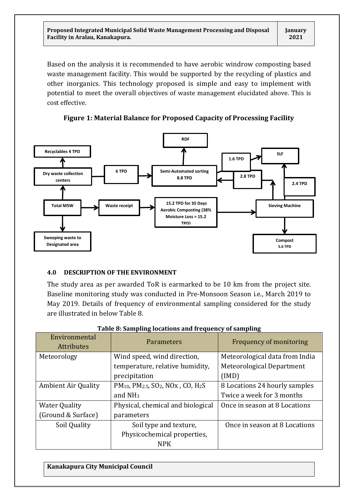Based on the analysis it is recommended to have aerobic windrow composting based waste management facility. This would be supported by the recycling of plastics and other inorganics. This technology proposed is simple and easy to implement with potential to meet the overall objectives of waste management elucidated above. This is cost effective.

**Figure 1: Material Balance for Proposed Capacity of Processing Facility**



#### **4.0 DESCRIPTION OF THE ENVIRONMENT**

The study area as per awarded ToR is earmarked to be 10 km from the project site. Baseline monitoring study was conducted in Pre-Monsoon Season i.e., March 2019 to May 2019. Details of frequency of environmental sampling considered for the study are illustrated in below Table 8.

| Environmental<br><b>Attributes</b> | Parameters                                                                                      | Frequency of monitoring        |
|------------------------------------|-------------------------------------------------------------------------------------------------|--------------------------------|
| Meteorology                        | Wind speed, wind direction,                                                                     | Meteorological data from India |
|                                    | temperature, relative humidity,                                                                 | Meteorological Department      |
|                                    | precipitation                                                                                   | (IMD)                          |
| <b>Ambient Air Quality</b>         | PM <sub>10</sub> , PM <sub>2.5</sub> , SO <sub>2</sub> , NO <sub>x</sub> , CO, H <sub>2</sub> S | 8 Locations 24 hourly samples  |
|                                    | and $NH3$                                                                                       | Twice a week for 3 months      |
| <b>Water Quality</b>               | Physical, chemical and biological                                                               | Once in season at 8 Locations  |
| (Ground & Surface)                 | parameters                                                                                      |                                |
| Soil Quality                       | Soil type and texture,                                                                          | Once in season at 8 Locations  |
|                                    | Physicochemical properties,                                                                     |                                |
|                                    | <b>NPK</b>                                                                                      |                                |

| Table 8: Sampling locations and frequency of sampling |  |  |
|-------------------------------------------------------|--|--|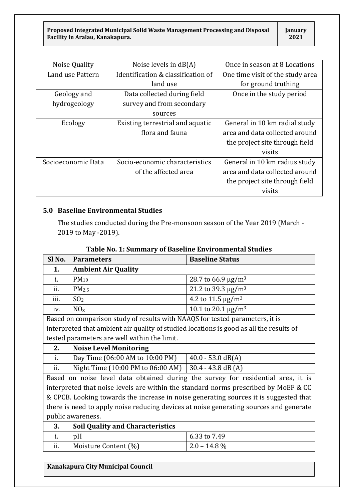| Noise Quality      | Noise levels in $dB(A)$            | Once in season at 8 Locations    |
|--------------------|------------------------------------|----------------------------------|
| Land use Pattern   | Identification & classification of | One time visit of the study area |
|                    | land use                           | for ground truthing              |
| Geology and        | Data collected during field        | Once in the study period         |
| hydrogeology       | survey and from secondary          |                                  |
|                    | sources                            |                                  |
| Ecology            | Existing terrestrial and aquatic   | General in 10 km radial study    |
|                    | flora and fauna                    | area and data collected around   |
|                    |                                    | the project site through field   |
|                    |                                    | visits                           |
| Socioeconomic Data | Socio-economic characteristics     | General in 10 km radius study    |
|                    | of the affected area               | area and data collected around   |
|                    |                                    | the project site through field   |
|                    |                                    | visits                           |

#### **5.0 Baseline Environmental Studies**

The studies conducted during the Pre-monsoon season of the Year 2019 (March - 2019 to May -2019).

|                                                                                        | Table No. 1. Summary of Baseline Environmental Studies                                  |                                     |  |  |
|----------------------------------------------------------------------------------------|-----------------------------------------------------------------------------------------|-------------------------------------|--|--|
| Sl No.                                                                                 | <b>Parameters</b>                                                                       | <b>Baseline Status</b>              |  |  |
| 1.                                                                                     | <b>Ambient Air Quality</b>                                                              |                                     |  |  |
| i.                                                                                     | $PM_{10}$                                                                               | 28.7 to 66.9 $\mu$ g/m <sup>3</sup> |  |  |
| ii.                                                                                    | PM <sub>2.5</sub>                                                                       | 21.2 to 39.3 $\mu$ g/m <sup>3</sup> |  |  |
| iii.                                                                                   | SO <sub>2</sub>                                                                         | 4.2 to 11.5 $\mu$ g/m <sup>3</sup>  |  |  |
| iv.                                                                                    | NO <sub>x</sub>                                                                         | 10.1 to 20.1 $\mu$ g/m <sup>3</sup> |  |  |
| Based on comparison study of results with NAAQS for tested parameters, it is           |                                                                                         |                                     |  |  |
|                                                                                        | interpreted that ambient air quality of studied locations is good as all the results of |                                     |  |  |
| tested parameters are well within the limit.                                           |                                                                                         |                                     |  |  |
| 2.                                                                                     | <b>Noise Level Monitoring</b>                                                           |                                     |  |  |
| i.                                                                                     | Day Time (06:00 AM to 10:00 PM)                                                         | $40.0 - 53.0 \text{ dB}(A)$         |  |  |
| ii.                                                                                    | Night Time (10:00 PM to 06:00 AM)                                                       | $30.4 - 43.8$ dB (A)                |  |  |
|                                                                                        | Based on noise level data obtained during the survey for residential area, it is        |                                     |  |  |
| interpreted that noise levels are within the standard norms prescribed by MoEF & CC    |                                                                                         |                                     |  |  |
|                                                                                        | & CPCB. Looking towards the increase in noise generating sources it is suggested that   |                                     |  |  |
| there is need to apply noise reducing devices at noise generating sources and generate |                                                                                         |                                     |  |  |
| public awareness.                                                                      |                                                                                         |                                     |  |  |
| 3.                                                                                     | <b>Soil Quality and Characteristics</b>                                                 |                                     |  |  |
|                                                                                        |                                                                                         |                                     |  |  |

## **Table No. 1: Summary of Baseline Environmental Studies**

| 3.  | <b>Soil Quality and Characteristics</b> |                |
|-----|-----------------------------------------|----------------|
|     |                                         | 6.33 to 7.49   |
| ii. | Moisture Content (%)                    | $2.0 - 14.8\%$ |
|     |                                         |                |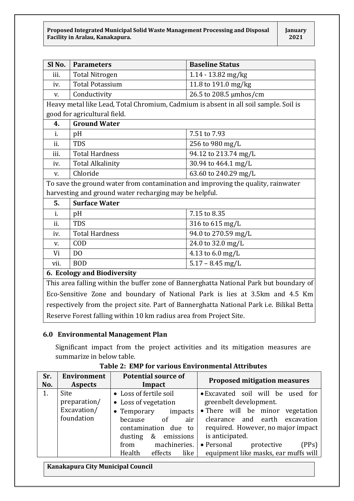| Sl No.                                                                                                                                                                                                                                                          | <b>Parameters</b>                                                                    | <b>Baseline Status</b> |  |
|-----------------------------------------------------------------------------------------------------------------------------------------------------------------------------------------------------------------------------------------------------------------|--------------------------------------------------------------------------------------|------------------------|--|
| iii.                                                                                                                                                                                                                                                            | <b>Total Nitrogen</b>                                                                | 1.14 - 13.82 mg/kg     |  |
| iv.                                                                                                                                                                                                                                                             | <b>Total Potassium</b>                                                               | 11.8 to 191.0 mg/kg    |  |
| v.                                                                                                                                                                                                                                                              | Conductivity                                                                         | 26.5 to 208.5 µmhos/cm |  |
|                                                                                                                                                                                                                                                                 | Heavy metal like Lead, Total Chromium, Cadmium is absent in all soil sample. Soil is |                        |  |
| good for agricultural field.                                                                                                                                                                                                                                    |                                                                                      |                        |  |
| 4.                                                                                                                                                                                                                                                              | <b>Ground Water</b>                                                                  |                        |  |
| i.                                                                                                                                                                                                                                                              | pH                                                                                   | 7.51 to 7.93           |  |
| ii.                                                                                                                                                                                                                                                             | <b>TDS</b>                                                                           | 256 to 980 mg/L        |  |
| iii.                                                                                                                                                                                                                                                            | <b>Total Hardness</b>                                                                | 94.12 to 213.74 mg/L   |  |
| iv.                                                                                                                                                                                                                                                             | <b>Total Alkalinity</b>                                                              | 30.94 to 464.1 mg/L    |  |
| V.                                                                                                                                                                                                                                                              | Chloride                                                                             | 63.60 to 240.29 mg/L   |  |
|                                                                                                                                                                                                                                                                 | To save the ground water from contamination and improving the quality, rainwater     |                        |  |
| harvesting and ground water recharging may be helpful.                                                                                                                                                                                                          |                                                                                      |                        |  |
| 5.                                                                                                                                                                                                                                                              | <b>Surface Water</b>                                                                 |                        |  |
| i.                                                                                                                                                                                                                                                              | pH                                                                                   | 7.15 to 8.35           |  |
| ii.                                                                                                                                                                                                                                                             | <b>TDS</b>                                                                           | 316 to 615 mg/L        |  |
| iv.                                                                                                                                                                                                                                                             | <b>Total Hardness</b>                                                                | 94.0 to 270.59 mg/L    |  |
| V.                                                                                                                                                                                                                                                              | COD                                                                                  | 24.0 to 32.0 mg/L      |  |
| Vi                                                                                                                                                                                                                                                              | D <sub>0</sub>                                                                       | 4.13 to 6.0 mg/L       |  |
| vii.                                                                                                                                                                                                                                                            | <b>BOD</b>                                                                           | $5.17 - 8.45$ mg/L     |  |
| 6. Ecology and Biodiversity                                                                                                                                                                                                                                     |                                                                                      |                        |  |
| $\mathbf{T}$ , $\mathbf{L}$ and $\mathbf{L}$ and $\mathbf{L}$ and $\mathbf{L}$ and $\mathbf{L}$ and $\mathbf{L}$ and $\mathbf{C}$ .<br>$\mathbf{A}$ and $\mathbf{M}$ and $\mathbf{A}$ and $\mathbf{D}$ and $\mathbf{A}$ is the set of $\mathbf{A}$ and<br>$CD-$ |                                                                                      |                        |  |

This area falling within the buffer zone of Bannerghatta National Park but boundary of Eco-Sensitive Zone and boundary of National Park is lies at 3.5km and 4.5 Km respectively from the project site. Part of Bannerghatta National Park i.e. Bilikal Betta Reserve Forest falling within 10 km radius area from Project Site.

#### **6.0 Environmental Management Plan**

Significant impact from the project activities and its mitigation measures are summarize in below table.

| Sr. | <b>Environment</b> | <b>Potential source of</b>  | <b>Proposed mitigation measures</b>  |
|-----|--------------------|-----------------------------|--------------------------------------|
| No. | <b>Aspects</b>     | Impact                      |                                      |
| 1.  | <b>Site</b>        | • Loss of fertile soil      | • Excavated soil will be used for    |
|     | preparation/       | • Loss of vegetation        | greenbelt development.               |
|     | Excavation/        | • Temporary<br>impacts      | • There will be minor vegetation     |
|     | foundation         | because<br>air<br>of        | clearance and earth excavation       |
|     |                    | contamination due to        | required. However, no major impact   |
|     |                    | emissions<br>&<br>dusting   | is anticipated.                      |
|     |                    | machineries.<br>from        | • Personal<br>(PPs)<br>protective    |
|     |                    | Health<br>like  <br>effects | equipment like masks, ear muffs will |

#### **Table 2: EMP for various Environmental Attributes**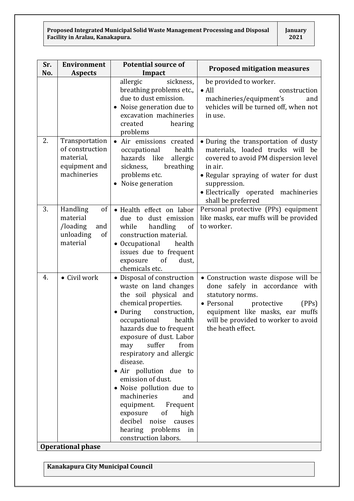| Sr. | <b>Environment</b>                                                             | <b>Potential source of</b>                                                                                                                                                                                                                                                                                                                                                                                                                                                                                                         | <b>Proposed mitigation measures</b>                                                                                                                                                                                                              |
|-----|--------------------------------------------------------------------------------|------------------------------------------------------------------------------------------------------------------------------------------------------------------------------------------------------------------------------------------------------------------------------------------------------------------------------------------------------------------------------------------------------------------------------------------------------------------------------------------------------------------------------------|--------------------------------------------------------------------------------------------------------------------------------------------------------------------------------------------------------------------------------------------------|
| No. | <b>Aspects</b>                                                                 | Impact                                                                                                                                                                                                                                                                                                                                                                                                                                                                                                                             |                                                                                                                                                                                                                                                  |
|     |                                                                                | allergic<br>sickness,<br>breathing problems etc.,<br>due to dust emission.<br>Noise generation due to<br>٠<br>excavation machineries<br>created<br>hearing<br>problems                                                                                                                                                                                                                                                                                                                                                             | be provided to worker.<br>$\bullet$ All<br>construction<br>machineries/equipment's<br>and<br>vehicles will be turned off, when not<br>in use.                                                                                                    |
| 2.  | Transportation<br>of construction<br>material,<br>equipment and<br>machineries | • Air emissions created<br>health<br>occupational<br>hazards like<br>allergic<br>breathing<br>sickness,<br>problems etc.<br>Noise generation                                                                                                                                                                                                                                                                                                                                                                                       | · During the transportation of dusty<br>materials, loaded trucks will be<br>covered to avoid PM dispersion level<br>in air.<br>• Regular spraying of water for dust<br>suppression.<br>· Electrically operated machineries<br>shall be preferred |
| 3.  | Handling<br>of<br>material<br>/loading<br>and<br>unloading<br>of<br>material   | · Health effect on labor<br>due to<br>dust emission<br>handling<br>of<br>while<br>construction material.<br>• Occupational<br>health<br>issues due to frequent<br>exposure<br>of<br>dust,<br>chemicals etc.                                                                                                                                                                                                                                                                                                                        | Personal protective (PPs) equipment<br>like masks, ear muffs will be provided<br>to worker.                                                                                                                                                      |
| 4.  | • Civil work                                                                   | • Disposal of construction<br>waste on land changes<br>the soil physical and<br>chemical properties.<br>$\bullet$ During<br>construction,<br>occupational<br>health<br>hazards due to frequent<br>exposure of dust. Labor<br>suffer<br>from<br>may<br>respiratory and allergic<br>disease.<br>· Air pollution due to<br>emission of dust.<br>• Noise pollution due to<br>machineries<br>and<br>equipment.<br>Frequent<br>$\sigma$<br>high<br>exposure<br>decibel noise<br>causes<br>hearing problems<br>in<br>construction labors. | • Construction waste dispose will be<br>done safely in accordance with<br>statutory norms.<br>• Personal<br>protective<br>(PPs)<br>equipment like masks, ear muffs<br>will be provided to worker to avoid<br>the heath effect.                   |
|     | <b>Operational phase</b>                                                       |                                                                                                                                                                                                                                                                                                                                                                                                                                                                                                                                    |                                                                                                                                                                                                                                                  |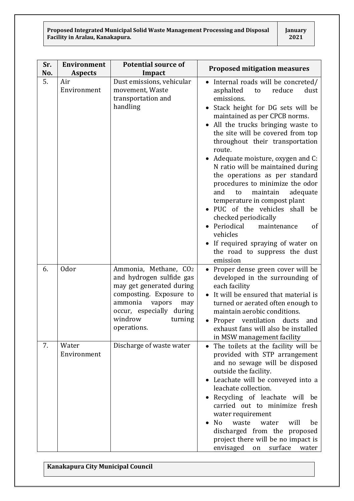| Sr.<br>No. | <b>Environment</b><br><b>Aspects</b> | <b>Potential source of</b><br>Impact                                                                                                                                                                  | <b>Proposed mitigation measures</b>                                                                                                                                                                                                                                                                                                                                                                                                                                                                                                                                                                                                                                                                      |
|------------|--------------------------------------|-------------------------------------------------------------------------------------------------------------------------------------------------------------------------------------------------------|----------------------------------------------------------------------------------------------------------------------------------------------------------------------------------------------------------------------------------------------------------------------------------------------------------------------------------------------------------------------------------------------------------------------------------------------------------------------------------------------------------------------------------------------------------------------------------------------------------------------------------------------------------------------------------------------------------|
| 5.         | Air<br>Environment                   | Dust emissions, vehicular<br>movement, Waste<br>transportation and<br>handling                                                                                                                        | Internal roads will be concreted/<br>reduce<br>asphalted<br>dust<br>to<br>emissions.<br>Stack height for DG sets will be<br>maintained as per CPCB norms.<br>All the trucks bringing waste to<br>the site will be covered from top<br>throughout their transportation<br>route.<br>Adequate moisture, oxygen and C:<br>N ratio will be maintained during<br>the operations as per standard<br>procedures to minimize the odor<br>and<br>maintain<br>adequate<br>to<br>temperature in compost plant<br>PUC of the vehicles shall<br>be<br>checked periodically<br>Periodical<br>maintenance<br><sub>of</sub><br>vehicles<br>If required spraying of water on<br>the road to suppress the dust<br>emission |
| 6.         | <b>Odor</b>                          | Ammonia, Methane, CO2<br>and hydrogen sulfide gas<br>may get generated during<br>composting. Exposure to<br>ammonia<br>vapors<br>may<br>occur, especially during<br>windrow<br>turning<br>operations. | Proper dense green cover will be<br>developed in the surrounding of<br>each facility<br>It will be ensured that material is<br>turned or aerated often enough to<br>maintain aerobic conditions.<br>Proper ventilation<br>ducts<br>and<br>exhaust fans will also be installed<br>in MSW management facility                                                                                                                                                                                                                                                                                                                                                                                              |
| 7.         | Water<br>Environment                 | Discharge of waste water                                                                                                                                                                              | The toilets at the facility will be<br>$\bullet$<br>provided with STP arrangement<br>and no sewage will be disposed<br>outside the facility.<br>Leachate will be conveyed into a<br>leachate collection.<br>Recycling of leachate will be<br>carried out to minimize fresh<br>water requirement<br>N <sub>o</sub><br>waste<br>will<br>be<br>water<br>discharged from the proposed<br>project there will be no impact is<br>envisaged<br>surface<br>on<br>water                                                                                                                                                                                                                                           |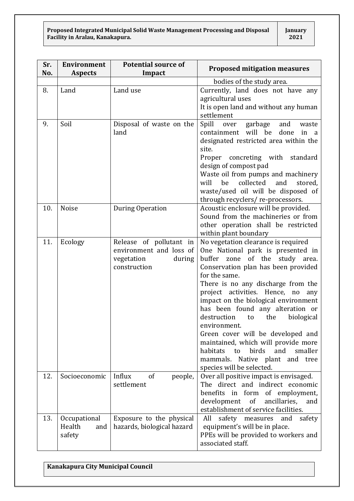| Sr.<br>No. | <b>Environment</b><br><b>Aspects</b>    | <b>Potential source of</b><br>Impact                                                       | <b>Proposed mitigation measures</b>                                                                                                                                                                                                                                                                                                                                                                                                                                                                                                                                                     |
|------------|-----------------------------------------|--------------------------------------------------------------------------------------------|-----------------------------------------------------------------------------------------------------------------------------------------------------------------------------------------------------------------------------------------------------------------------------------------------------------------------------------------------------------------------------------------------------------------------------------------------------------------------------------------------------------------------------------------------------------------------------------------|
|            |                                         |                                                                                            | bodies of the study area.                                                                                                                                                                                                                                                                                                                                                                                                                                                                                                                                                               |
| 8.         | Land                                    | Land use                                                                                   | Currently, land does not have any<br>agricultural uses<br>It is open land and without any human<br>settlement                                                                                                                                                                                                                                                                                                                                                                                                                                                                           |
| 9.         | Soil                                    | Disposal of waste on the<br>land                                                           | Spill over<br>garbage<br>and<br>waste<br>will be<br>done<br>containment<br>in<br>$\alpha$<br>designated restricted area within the<br>site.<br>Proper concreting with standard<br>design of compost pad<br>Waste oil from pumps and machinery<br>collected<br>will<br>be<br>and<br>stored,<br>waste/used oil will be disposed of<br>through recyclers/re-processors.                                                                                                                                                                                                                    |
| 10.        | Noise                                   | During Operation                                                                           | Acoustic enclosure will be provided.<br>Sound from the machineries or from<br>other operation shall be restricted<br>within plant boundary                                                                                                                                                                                                                                                                                                                                                                                                                                              |
| 11.        | Ecology                                 | Release of pollutant in<br>environment and loss of<br>vegetation<br>during<br>construction | No vegetation clearance is required<br>One National park is presented in<br>of the study<br>buffer<br>zone<br>area.<br>Conservation plan has been provided<br>for the same.<br>There is no any discharge from the<br>project activities. Hence, no<br>any<br>impact on the biological environment<br>has been found any alteration or<br>destruction<br>biological<br>the<br>to<br>environment.<br>Green cover will be developed and<br>maintained, which will provide more<br>smaller<br>habitats<br>birds<br>and<br>to<br>mammals. Native plant and tree<br>species will be selected. |
| 12.        | Socioeconomic                           | Influx<br>of<br>people,<br>settlement                                                      | Over all positive impact is envisaged.<br>The direct and indirect economic<br>benefits in form of employment,<br>development<br>of<br>ancillaries,<br>and<br>establishment of service facilities.                                                                                                                                                                                                                                                                                                                                                                                       |
| 13.        | Occupational<br>Health<br>and<br>safety | Exposure to the physical<br>hazards, biological hazard                                     | All<br>safety measures<br>and<br>safety<br>equipment's will be in place.<br>PPEs will be provided to workers and<br>associated staff.                                                                                                                                                                                                                                                                                                                                                                                                                                                   |